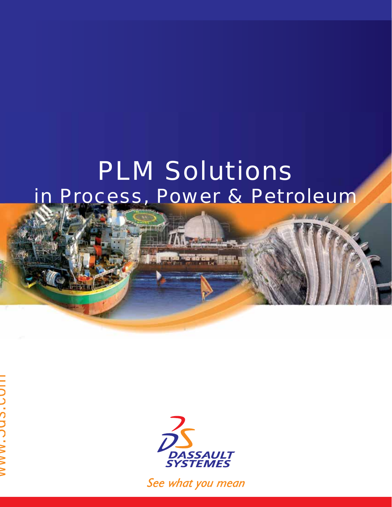# PLM Solutions in Process, Power & Petroleum



See what you mean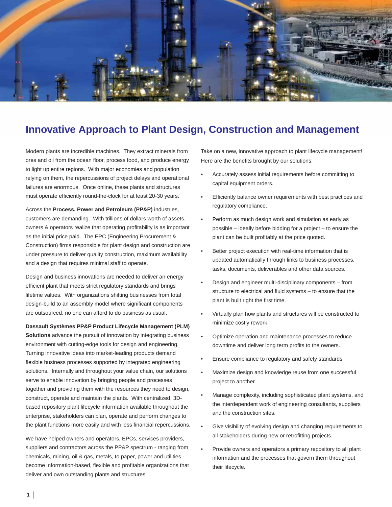

# **Innovative Approach to Plant Design, Construction and Management**

Modern plants are incredible machines. They extract minerals from ores and oil from the ocean floor, process food, and produce energy to light up entire regions. With major economies and population relying on them, the repercussions of project delays and operational failures are enormous. Once online, these plants and structures must operate efficiently round-the-clock for at least 20-30 years.

Across the **Process, Power and Petroleum (PP&P)** industries, customers are demanding. With trillions of dollars worth of assets, owners & operators realize that operating profitability is as important as the initial price paid. The EPC (Engineering Procurement & Construction) firms responsible for plant design and construction are under pressure to deliver quality construction, maximum availability and a design that requires minimal staff to operate.

Design and business innovations are needed to deliver an energy efficient plant that meets strict regulatory standards and brings lifetime values. With organizations shifting businesses from total design-build to an assembly model where significant components are outsourced, no one can afford to do business as usual.

#### **Dassault Systèmes PP&P Product Lifecycle Management (PLM)**

**Solutions** advance the pursuit of innovation by integrating business environment with cutting-edge tools for design and engineering. Turning innovative ideas into market-leading products demand flexible business processes supported by integrated engineering solutions. Internally and throughout your value chain, our solutions serve to enable innovation by bringing people and processes together and providing them with the resources they need to design, construct, operate and maintain the plants. With centralized, 3Dbased repository plant lifecycle information available throughout the enterprise, stakeholders can plan, operate and perform changes to the plant functions more easily and with less financial repercussions.

We have helped owners and operators, EPCs, services providers, suppliers and contractors across the PP&P spectrum - ranging from chemicals, mining, oil & gas, metals, to paper, power and utilities become information-based, flexible and profitable organizations that deliver and own outstanding plants and structures.

Take on a new, innovative approach to plant lifecycle management! Here are the benefits brought by our solutions:

- Accurately assess initial requirements before committing to capital equipment orders. •
- Efficiently balance owner requirements with best practices and regulatory compliance. •
- Perform as much design work and simulation as early as possible – ideally before bidding for a project – to ensure the plant can be built profitably at the price quoted. •
- Better project execution with real-time information that is updated automatically through links to business processes, tasks, documents, deliverables and other data sources. •
- Design and engineer multi-disciplinary components from structure to electrical and fluid systems - to ensure that the plant is built right the first time. •
- Virtually plan how plants and structures will be constructed to minimize costly rework. •
- Optimize operation and maintenance processes to reduce downtime and deliver long term profits to the owners. •
- Ensure compliance to regulatory and safety standards •
- Maximize design and knowledge reuse from one successful project to another. •
- Manage complexity, including sophisticated plant systems, and the interdependent work of engineering consultants, suppliers and the construction sites. •
- Give visibility of evolving design and changing requirements to all stakeholders during new or retrofitting projects. •
- Provide owners and operators a primary repository to all plant information and the processes that govern them throughout their lifecycle. •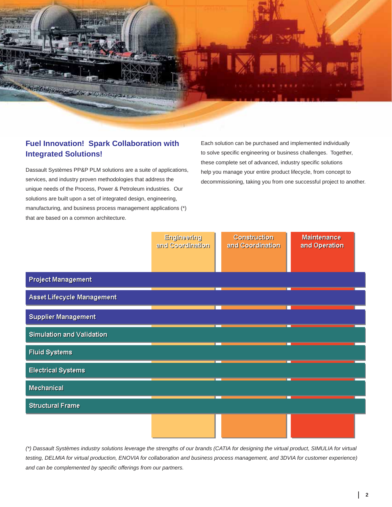

# **Fuel Innovation! Spark Collaboration with Integrated Solutions!**

Dassault Systèmes PP&P PLM solutions are a suite of applications, services, and industry proven methodologies that address the unique needs of the Process, Power & Petroleum industries. Our solutions are built upon a set of integrated design, engineering, manufacturing, and business process management applications (\*) that are based on a common architecture.

Each solution can be purchased and implemented individually to solve specific engineering or business challenges. Together, these complete set of advanced, industry specific solutions help you manage your entire product lifecycle, from concept to decommissioning, taking you from one successful project to another.

|                            | Engineering<br>and Coordination | Construction<br>and Coordination | Maintenance<br>and Operation |
|----------------------------|---------------------------------|----------------------------------|------------------------------|
| <b>Project Management</b>  |                                 |                                  |                              |
| Asset Lifecycle Management |                                 |                                  |                              |
| <b>Supplier Management</b> |                                 |                                  |                              |
| Simulation and Validation  |                                 |                                  |                              |
| <b>Fluid Systems</b>       |                                 |                                  |                              |
| <b>Electrical Systems</b>  |                                 |                                  |                              |
| Mechanical                 |                                 |                                  |                              |
| <b>Structural Frame</b>    |                                 |                                  |                              |
|                            |                                 |                                  |                              |

*(\*) Dassault Systèmes industry solutions leverage the strengths of our brands (CATIA for designing the virtual product, SIMULIA for virtual testing, DELMIA for virtual production, ENOVIA for collaboration and business process management, and 3DVIA for customer experience) and can be complemented by specifi c offerings from our partners.*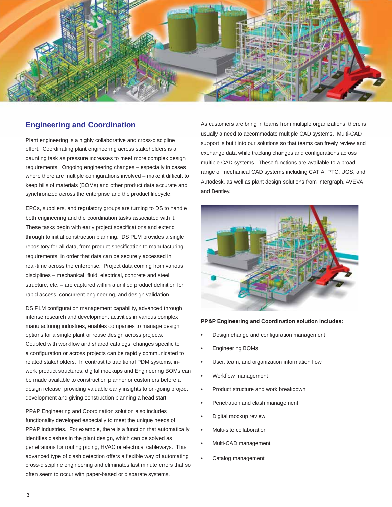

# **Engineering and Coordination**

Plant engineering is a highly collaborative and cross-discipline effort. Coordinating plant engineering across stakeholders is a daunting task as pressure increases to meet more complex design requirements. Ongoing engineering changes – especially in cases where there are multiple configurations involved  $-$  make it difficult to keep bills of materials (BOMs) and other product data accurate and synchronized across the enterprise and the product lifecycle.

EPCs, suppliers, and regulatory groups are turning to DS to handle both engineering and the coordination tasks associated with it. These tasks begin with early project specifications and extend through to initial construction planning. DS PLM provides a single repository for all data, from product specification to manufacturing requirements, in order that data can be securely accessed in real-time across the enterprise. Project data coming from various disciplines – mechanical, fluid, electrical, concrete and steel structure, etc. - are captured within a unified product definition for rapid access, concurrent engineering, and design validation.

DS PLM configuration management capability, advanced through intense research and development activities in various complex manufacturing industries, enables companies to manage design options for a single plant or reuse design across projects. Coupled with workflow and shared catalogs, changes specific to a configuration or across projects can be rapidly communicated to related stakeholders. In contrast to traditional PDM systems, inwork product structures, digital mockups and Engineering BOMs can be made available to construction planner or customers before a design release, providing valuable early insights to on-going project development and giving construction planning a head start.

PP&P Engineering and Coordination solution also includes functionality developed especially to meet the unique needs of PP&P industries. For example, there is a function that automatically identifies clashes in the plant design, which can be solved as penetrations for routing piping, HVAC or electrical cableways. This advanced type of clash detection offers a flexible way of automating cross-discipline engineering and eliminates last minute errors that so often seem to occur with paper-based or disparate systems.

As customers are bring in teams from multiple organizations, there is usually a need to accommodate multiple CAD systems. Multi-CAD support is built into our solutions so that teams can freely review and exchange data while tracking changes and configurations across multiple CAD systems. These functions are available to a broad range of mechanical CAD systems including CATIA, PTC, UGS, and Autodesk, as well as plant design solutions from Intergraph, AVEVA and Bentley.



#### **PP&P Engineering and Coordination solution includes:**

- Design change and configuration management •
- Engineering BOMs •
- User, team, and organization information flow •
- Workflow management •
- Product structure and work breakdown •
- Penetration and clash management •
- Digital mockup review •
- Multi-site collaboration •
- Multi-CAD management •
- Catalog management •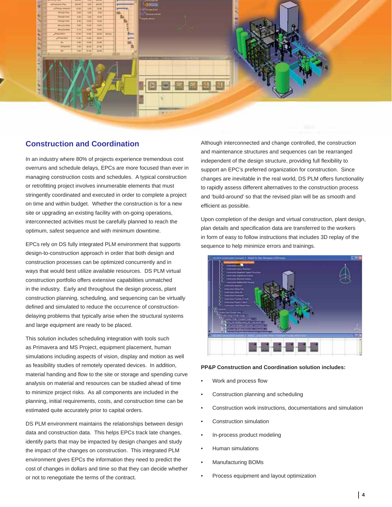

# **Construction and Coordination**

In an industry where 80% of projects experience tremendous cost overruns and schedule delays, EPCs are more focused than ever in managing construction costs and schedules. A typical construction or retrofitting project involves innumerable elements that must stringently coordinated and executed in order to complete a project on time and within budget. Whether the construction is for a new site or upgrading an existing facility with on-going operations, interconnected activities must be carefully planned to reach the optimum, safest sequence and with minimum downtime.

EPCs rely on DS fully integrated PLM environment that supports design-to-construction approach in order that both design and construction processes can be optimized concurrently and in ways that would best utilize available resources. DS PLM virtual construction portfolio offers extensive capabilities unmatched in the industry. Early and throughout the design process, plant construction planning, scheduling, and sequencing can be virtually defined and simulated to reduce the occurrence of constructiondelaying problems that typically arise when the structural systems and large equipment are ready to be placed.

This solution includes scheduling integration with tools such as Primavera and MS Project, equipment placement, human simulations including aspects of vision, display and motion as well as feasibility studies of remotely operated devices. In addition, material handing and flow to the site or storage and spending curve analysis on material and resources can be studied ahead of time to minimize project risks. As all components are included in the planning, initial requirements, costs, and construction time can be estimated quite accurately prior to capital orders.

DS PLM environment maintains the relationships between design data and construction data. This helps EPCs track late changes, identify parts that may be impacted by design changes and study the impact of the changes on construction. This integrated PLM environment gives EPCs the information they need to predict the cost of changes in dollars and time so that they can decide whether or not to renegotiate the terms of the contract.

Although interconnected and change controlled, the construction and maintenance structures and sequences can be rearranged independent of the design structure, providing full flexibility to support an EPC's preferred organization for construction. Since changes are inevitable in the real world, DS PLM offers functionality to rapidly assess different alternatives to the construction process and 'build-around' so that the revised plan will be as smooth and efficient as possible.

Upon completion of the design and virtual construction, plant design, plan details and specification data are transferred to the workers in form of easy to follow instructions that includes 3D replay of the sequence to help minimize errors and trainings.



#### **PP&P Construction and Coordination solution includes:**

- Work and process flow •
- Construction planning and scheduling •
- Construction work instructions, documentations and simulation •
- Construction simulation •
- In-process product modeling •
- Human simulations •
- Manufacturing BOMs •
- Process equipment and layout optimization •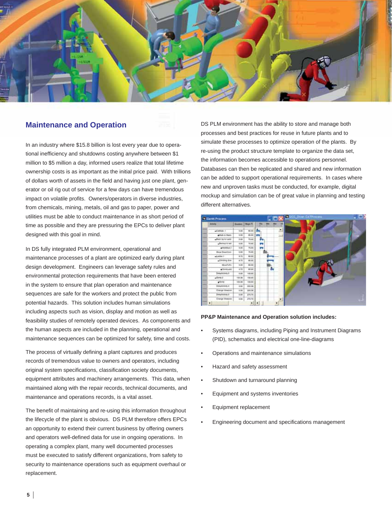

# **Maintenance and Operation**

In an industry where \$15.8 billion is lost every year due to operational inefficiency and shutdowns costing anywhere between \$1 million to \$5 million a day, informed users realize that total lifetime ownership costs is as important as the initial price paid. With trillions of dollars worth of assets in the field and having just one plant, generator or oil rig out of service for a few days can have tremendous impact on volatile profits. Owners/operators in diverse industries, from chemicals, mining, metals, oil and gas to paper, power and utilities must be able to conduct maintenance in as short period of time as possible and they are pressuring the EPCs to deliver plant designed with this goal in mind.

In DS fully integrated PLM environment, operational and maintenance processes of a plant are optimized early during plant design development. Engineers can leverage safety rules and environmental protection requirements that have been entered in the system to ensure that plan operation and maintenance sequences are safe for the workers and protect the public from potential hazards. This solution includes human simulations including aspects such as vision, display and motion as well as feasibility studies of remotely operated devices. As components and the human aspects are included in the planning, operational and maintenance sequences can be optimized for safety, time and costs.

The process of virtually defining a plant captures and produces records of tremendous value to owners and operators, including original system specifications, classification society documents, equipment attributes and machinery arrangements. This data, when maintained along with the repair records, technical documents, and maintenance and operations records, is a vital asset.

The benefit of maintaining and re-using this information throughout the lifecycle of the plant is obvious. DS PLM therefore offers EPCs an opportunity to extend their current business by offering owners and operators well-defined data for use in ongoing operations. In operating a complex plant, many well documented processes must be executed to satisfy different organizations, from safety to security to maintenance operations such as equipment overhaul or replacement.

DS PLM environment has the ability to store and manage both processes and best practices for reuse in future plants and to simulate these processes to optimize operation of the plants. By re-using the product structure template to organize the data set, the information becomes accessible to operations personnel. Databases can then be replicated and shared and new information can be added to support operational requirements. In cases where new and unproven tasks must be conducted, for example, digital mockup and simulation can be of great value in planning and testing different alternatives.



#### **PP&P Maintenance and Operation solution includes:**

- Systems diagrams, including Piping and Instrument Diagrams (PID), schematics and electrical one-line-diagrams •
- Operations and maintenance simulations •
- Hazard and safety assessment •
- Shutdown and turnaround planning •
- Equipment and systems inventories •
- Equipment replacement •
- Engineering document and specifications management •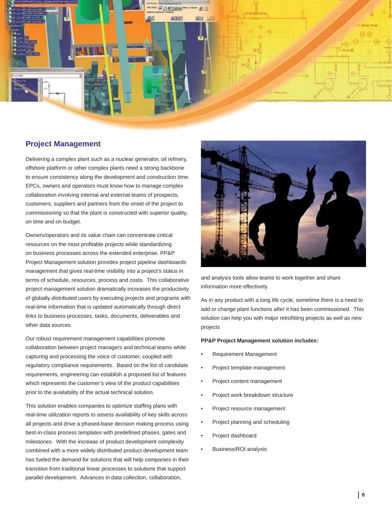

# **Project Management**

Delivering a complex plant such as a nuclear generator, oil refinery, offshore platform or other complex plants need a strong backbone to ensure consistency along the development and construction time. EPCs, owners and operators must know how to manage complex collaboration involving internal and external teams of prospects, customers, suppliers and partners from the onset of the project to commissioning so that the plant is constructed with superior quality, on time and on budget.

Owners/operators and its value chain can concentrate critical resources on the most profitable projects while standardizing on business processes across the extended enterprise. PP&P Project Management solution provides project pipeline dashboards management that gives real-time visibility into a project's status in terms of schedule, resources, process and costs. This collaborative project management solution dramatically increases the productivity of globally distributed users by executing projects and programs with real-time information that is updated automatically through direct links to business processes, tasks, documents, deliverables and other data sources.

Our robust requirement management capabilities promote collaboration between project managers and technical teams while capturing and processing the voice of customer, coupled with regulatory compliance requirements. Based on the list of candidate requirements, engineering can establish a proposed list of features which represents the customer's view of the product capabilities prior to the availability of the actual technical solution.

This solution enables companies to optimize staffing plans with real-time utilization reports to assess availability of key skills across all projects and drive a phased-base decision making process using best-in-class process templates with predefined phases, gates and milestones. With the increase of product development complexity combined with a more widely distributed product development team has fueled the demand for solutions that will help companies in their transition from traditional linear processes to solutions that support parallel development. Advances in data collection, collaboration,



and analysis tools allow teams to work together and share information more effectively.

As in any product with a long life cycle, sometime there is a need to add or change plant functions after it has been commissioned. This solution can help you with major retrofitting projects as well as new projects

#### **PP&P Project Management solution includes:**

- Requirement Management •
- Project template management •
- Project content management •
- Project work breakdown structure •
- Project resource management •
- Project planning and scheduling •
- Project dashboard •
- Business/ROI analysis •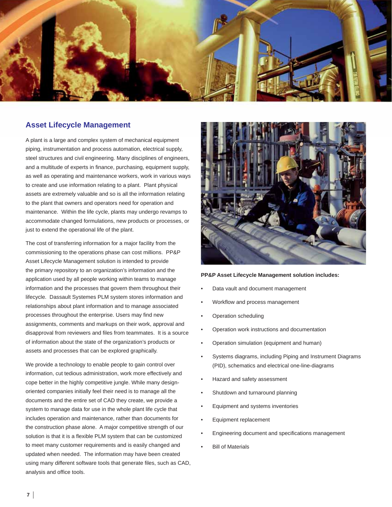

# **Asset Lifecycle Management**

A plant is a large and complex system of mechanical equipment piping, instrumentation and process automation, electrical supply, steel structures and civil engineering. Many disciplines of engineers, and a multitude of experts in finance, purchasing, equipment supply, as well as operating and maintenance workers, work in various ways to create and use information relating to a plant. Plant physical assets are extremely valuable and so is all the information relating to the plant that owners and operators need for operation and maintenance. Within the life cycle, plants may undergo revamps to accommodate changed formulations, new products or processes, or just to extend the operational life of the plant.

The cost of transferring information for a major facility from the commissioning to the operations phase can cost millions. PP&P Asset Lifecycle Management solution is intended to provide the primary repository to an organization's information and the application used by all people working within teams to manage information and the processes that govern them throughout their lifecycle. Dassault Systemes PLM system stores information and relationships about plant information and to manage associated processes throughout the enterprise. Users may find new assignments, comments and markups on their work, approval and disapproval from reviewers and files from teammates. It is a source of information about the state of the organization's products or assets and processes that can be explored graphically.

We provide a technology to enable people to gain control over information, cut tedious administration, work more effectively and cope better in the highly competitive jungle. While many designoriented companies initially feel their need is to manage all the documents and the entire set of CAD they create, we provide a system to manage data for use in the whole plant life cycle that includes operation and maintenance, rather than documents for the construction phase alone. A major competitive strength of our solution is that it is a flexible PLM system that can be customized to meet many customer requirements and is easily changed and updated when needed. The information may have been created using many different software tools that generate files, such as CAD, analysis and office tools.



#### **PP&P Asset Lifecycle Management solution includes:**

- Data vault and document management •
- Workflow and process management •
- Operation scheduling •
- Operation work instructions and documentation •
- Operation simulation (equipment and human) •
- Systems diagrams, including Piping and Instrument Diagrams (PID), schematics and electrical one-line-diagrams •
- Hazard and safety assessment •
- Shutdown and turnaround planning •
- Equipment and systems inventories •
- Equipment replacement •
- Engineering document and specifications management •
- Bill of Materials •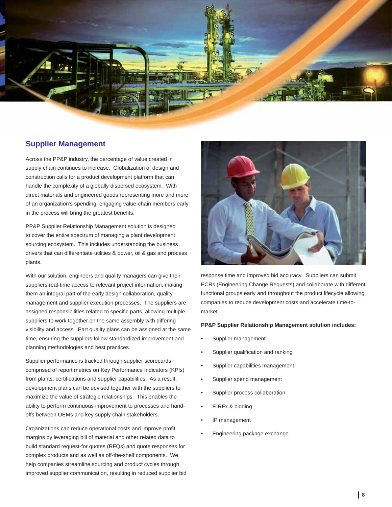

# **Supplier Management**

Across the PP&P industry, the percentage of value created in supply chain continues to increase. Globalization of design and construction calls for a product development platform that can handle the complexity of a globally dispersed ecosystem. With direct materials and engineered goods representing more and more of an organization's spending, engaging value-chain members early in the process will bring the greatest benefits.

PP&P Supplier Relationship Management solution is designed to cover the entire spectrum of managing a plant development sourcing ecosystem. This includes understanding the business drivers that can differentiate utilities & power, oil & gas and process plants.

With our solution, engineers and quality managers can give their suppliers real-time access to relevant project information, making them an integral part of the early design collaboration, quality management and supplier execution processes. The suppliers are assigned responsibilities related to specific parts, allowing multiple suppliers to work together on the same assembly with differing visibility and access. Part quality plans can be assigned at the same time, ensuring the suppliers follow standardized improvement and planning methodologies and best practices.

Supplier performance is tracked through supplier scorecards comprised of report metrics on Key Performance Indicators (KPIs) from plants, certifications and supplier capabilities. As a result, development plans can be devised together with the suppliers to maximize the value of strategic relationships. This enables the ability to perform continuous improvement to processes and handoffs between OEMs and key supply chain stakeholders.

Organizations can reduce operational costs and improve profit margins by leveraging bill of material and other related data to build standard request-for quotes (RFQs) and quote responses for complex products and as well as off-the-shelf components. We help companies streamline sourcing and product cycles through improved supplier communication, resulting in reduced supplier bid



response time and improved bid accuracy. Suppliers can submit ECRs (Engineering Change Requests) and collaborate with different functional groups early and throughout the product lifecycle allowing companies to reduce development costs and accelerate time-tomarket.

#### **PP&P Supplier Relationship Management solution includes:**

- Supplier management •
- Supplier qualification and ranking •
- Supplier capabilities management •
- Supplier spend management •
- Supplier process collaboration •
- E-RFx & bidding •
- IP management •
- Engineering package exchange •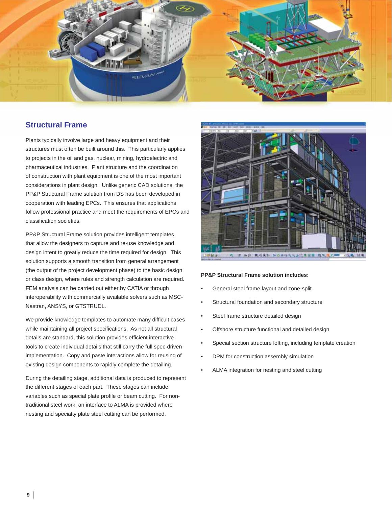

# **Structural Frame**

Plants typically involve large and heavy equipment and their structures must often be built around this. This particularly applies to projects in the oil and gas, nuclear, mining, hydroelectric and pharmaceutical industries. Plant structure and the coordination of construction with plant equipment is one of the most important considerations in plant design. Unlike generic CAD solutions, the PP&P Structural Frame solution from DS has been developed in cooperation with leading EPCs. This ensures that applications follow professional practice and meet the requirements of EPCs and classification societies.

PP&P Structural Frame solution provides intelligent templates that allow the designers to capture and re-use knowledge and design intent to greatly reduce the time required for design. This solution supports a smooth transition from general arrangement (the output of the project development phase) to the basic design or class design, where rules and strength calculation are required. FEM analysis can be carried out either by CATIA or through interoperability with commercially available solvers such as MSC-Nastran, ANSYS, or GTSTRUDL.

We provide knowledge templates to automate many difficult cases while maintaining all project specifications. As not all structural details are standard, this solution provides efficient interactive tools to create individual details that still carry the full spec-driven implementation. Copy and paste interactions allow for reusing of existing design components to rapidly complete the detailing.

During the detailing stage, additional data is produced to represent the different stages of each part. These stages can include variables such as special plate profile or beam cutting. For nontraditional steel work, an interface to ALMA is provided where nesting and specialty plate steel cutting can be performed.



#### **PP&P Structural Frame solution includes:**

- General steel frame layout and zone-split •
- Structural foundation and secondary structure •
- Steel frame structure detailed design •
- Offshore structure functional and detailed design •
- Special section structure lofting, including template creation •
- DPM for construction assembly simulation •
- ALMA integration for nesting and steel cutting •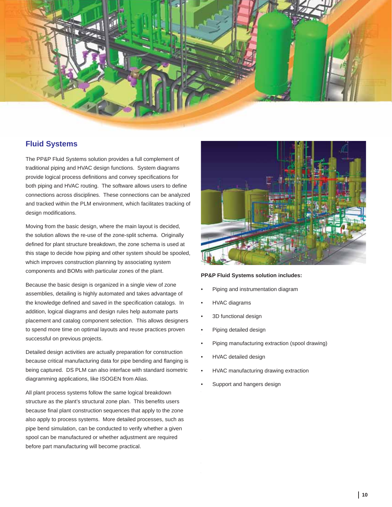

# **Fluid Systems**

The PP&P Fluid Systems solution provides a full complement of traditional piping and HVAC design functions. System diagrams provide logical process definitions and convey specifications for both piping and HVAC routing. The software allows users to define connections across disciplines. These connections can be analyzed and tracked within the PLM environment, which facilitates tracking of design modifications.

Moving from the basic design, where the main layout is decided, the solution allows the re-use of the zone-split schema. Originally defined for plant structure breakdown, the zone schema is used at this stage to decide how piping and other system should be spooled, which improves construction planning by associating system components and BOMs with particular zones of the plant.

Because the basic design is organized in a single view of zone assemblies, detailing is highly automated and takes advantage of the knowledge defined and saved in the specification catalogs. In addition, logical diagrams and design rules help automate parts placement and catalog component selection. This allows designers to spend more time on optimal layouts and reuse practices proven successful on previous projects.

Detailed design activities are actually preparation for construction because critical manufacturing data for pipe bending and flanging is being captured. DS PLM can also interface with standard isometric diagramming applications, like ISOGEN from Alias.

All plant process systems follow the same logical breakdown structure as the plant's structural zone plan. This benefits users because final plant construction sequences that apply to the zone also apply to process systems. More detailed processes, such as pipe bend simulation, can be conducted to verify whether a given spool can be manufactured or whether adjustment are required before part manufacturing will become practical.



#### **PP&P Fluid Systems solution includes:**

- Piping and instrumentation diagram •
- HVAC diagrams •
- 3D functional design •
- feugue etummolum zzriuscilit venisit iril ex ex et velisisl duis nos Piping detailed design •
- Piping manufacturing extraction (spool drawing) •
- **•** HVAC detailed design •
- HVAC manufacturing drawing extraction •
- Support and hangers design •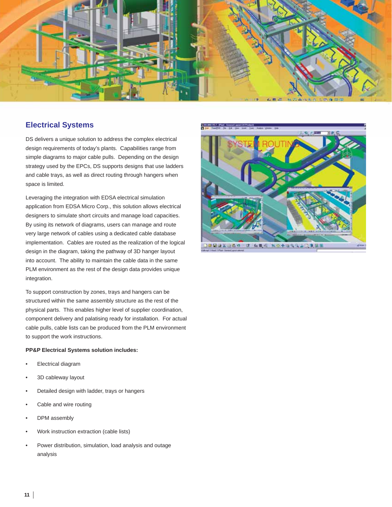

# **Electrical Systems**

DS delivers a unique solution to address the complex electrical design requirements of today's plants. Capabilities range from simple diagrams to major cable pulls. Depending on the design strategy used by the EPCs, DS supports designs that use ladders and cable trays, as well as direct routing through hangers when space is limited.

Leveraging the integration with EDSA electrical simulation application from EDSA Micro Corp., this solution allows electrical designers to simulate short circuits and manage load capacities. By using its network of diagrams, users can manage and route very large network of cables using a dedicated cable database implementation. Cables are routed as the realization of the logical design in the diagram, taking the pathway of 3D hanger layout into account. The ability to maintain the cable data in the same PLM environment as the rest of the design data provides unique integration.

To support construction by zones, trays and hangers can be structured within the same assembly structure as the rest of the physical parts. This enables higher level of supplier coordination, component delivery and palatising ready for installation. For actual cable pulls, cable lists can be produced from the PLM environment to support the work instructions.

## **PP&P Electrical Systems solution includes:**

- Electrical diagram •
- 3D cableway layout •
- Detailed design with ladder, trays or hangers •
- Cable and wire routing •
- DPM assembly •
- Work instruction extraction (cable lists) •
- Power distribution, simulation, load analysis and outage analysis •

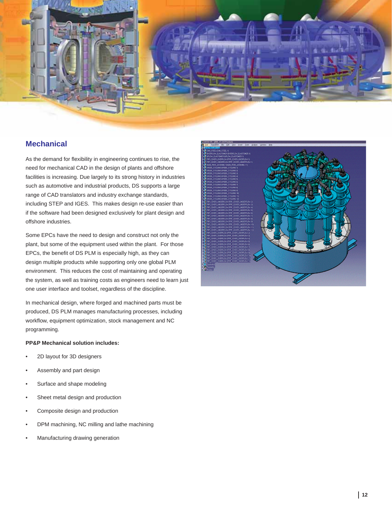

# **Mechanical**

As the demand for flexibility in engineering continues to rise, the need for mechanical CAD in the design of plants and offshore facilities is increasing. Due largely to its strong history in industries such as automotive and industrial products, DS supports a large range of CAD translators and industry exchange standards, including STEP and IGES. This makes design re-use easier than if the software had been designed exclusively for plant design and offshore industries.

Some EPCs have the need to design and construct not only the plant, but some of the equipment used within the plant. For those EPCs, the benefit of DS PLM is especially high, as they can design multiple products while supporting only one global PLM environment. This reduces the cost of maintaining and operating the system, as well as training costs as engineers need to learn just one user interface and toolset, regardless of the discipline.

In mechanical design, where forged and machined parts must be produced, DS PLM manages manufacturing processes, including workflow, equipment optimization, stock management and NC programming.

## **PP&P Mechanical solution includes:**

- 2D layout for 3D designers •
- Assembly and part design •
- Surface and shape modeling •
- Sheet metal design and production •
- Composite design and production •
- DPM machining, NC milling and lathe machining •
- Manufacturing drawing generation •

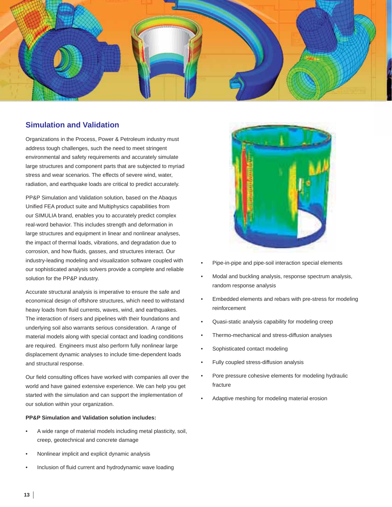

# **Simulation and Validation**

Organizations in the Process, Power & Petroleum industry must address tough challenges, such the need to meet stringent environmental and safety requirements and accurately simulate large structures and component parts that are subjected to myriad stress and wear scenarios. The effects of severe wind, water, radiation, and earthquake loads are critical to predict accurately.

PP&P Simulation and Validation solution, based on the Abaqus Unified FEA product suite and Multiphysics capabilities from our SIMULIA brand, enables you to accurately predict complex real-word behavior. This includes strength and deformation in large structures and equipment in linear and nonlinear analyses, the impact of thermal loads, vibrations, and degradation due to corrosion, and how fluids, gasses, and structures interact. Our industry-leading modeling and visualization software coupled with our sophisticated analysis solvers provide a complete and reliable solution for the PP&P industry.

Accurate structural analysis is imperative to ensure the safe and economical design of offshore structures, which need to withstand heavy loads from fluid currents, waves, wind, and earthquakes. The interaction of risers and pipelines with their foundations and underlying soil also warrants serious consideration. A range of material models along with special contact and loading conditions are required. Engineers must also perform fully nonlinear large displacement dynamic analyses to include time-dependent loads and structural response.

Our field consulting offices have worked with companies all over the world and have gained extensive experience. We can help you get started with the simulation and can support the implementation of our solution within your organization.

#### **PP&P Simulation and Validation solution includes:**

- A wide range of material models including metal plasticity, soil, creep, geotechnical and concrete damage •
- Nonlinear implicit and explicit dynamic analysis •
- Inclusion of fluid current and hydrodynamic wave loading •



- Pipe-in-pipe and pipe-soil interaction special elements •
- Modal and buckling analysis, response spectrum analysis, random response analysis •
- Embedded elements and rebars with pre-stress for modeling reinforcement •
- Quasi-static analysis capability for modeling creep •
- Thermo-mechanical and stress-diffusion analyses •
- Sophisticated contact modeling •
- Fully coupled stress-diffusion analysis •
- Pore pressure cohesive elements for modeling hydraulic fracture •
- Adaptive meshing for modeling material erosion •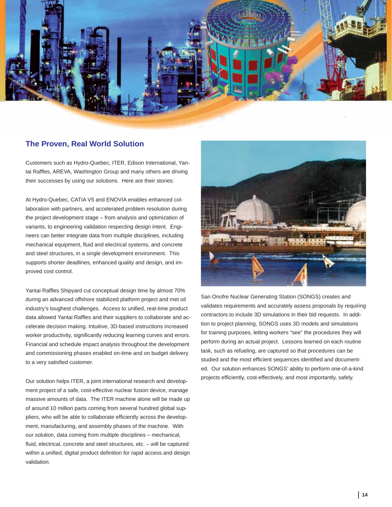

## **The Proven, Real World Solution**

Customers such as Hydro-Quebec, ITER, Edison International, Yantai Raffles, AREVA, Washington Group and many others are driving their successes by using our solutions. Here are their stories:

At Hydro-Quebec, CATIA V5 and ENOVIA enables enhanced collaboration with partners, and accelerated problem resolution during the project development stage – from analysis and optimization of variants, to engineering validation respecting design intent. Engineers can better integrate data from multiple disciplines, including mechanical equipment, fluid and electrical systems, and concrete and steel structures, in a single development environment. This supports shorter deadlines, enhanced quality and design, and improved cost control.

Yantai Raffles Shipyard cut conceptual design time by almost 70% during an advanced offshore stabilized platform project and met oil industry's toughest challenges. Access to unified, real-time product data allowed Yantai Raffles and their suppliers to collaborate and accelerate decision making. Intuitive, 3D-based instructions increased worker productivity, significantly reducing learning curves and errors. Financial and schedule impact analysis throughout the development and commissioning phases enabled on-time and on budget delivery to a very satisfied customer.

Our solution helps ITER, a joint international research and development project of a safe, cost-effective nuclear fusion device, manage massive amounts of data. The ITER machine alone will be made up of around 10 million parts coming from several hundred global suppliers, who will be able to collaborate efficiently across the development, manufacturing, and assembly phases of the machine. With our solution, data coming from multiple disciplines – mechanical, fluid, electrical, concrete and steel structures, etc. - will be captured within a unified, digital product definition for rapid access and design validation.



San Onofre Nuclear Generating Station (SONGS) creates and validates requirements and accurately assess proposals by requiring contractors to include 3D simulations in their bid requests. In addition to project planning, SONGS uses 3D models and simulations for training purposes, letting workers "see" the procedures they will perform during an actual project. Lessons learned on each routine task, such as refueling, are captured so that procedures can be studied and the most efficient sequences identified and documented. Our solution enhances SONGS' ability to perform one-of-a-kind projects efficiently, cost-effectively, and most importantly, safely.